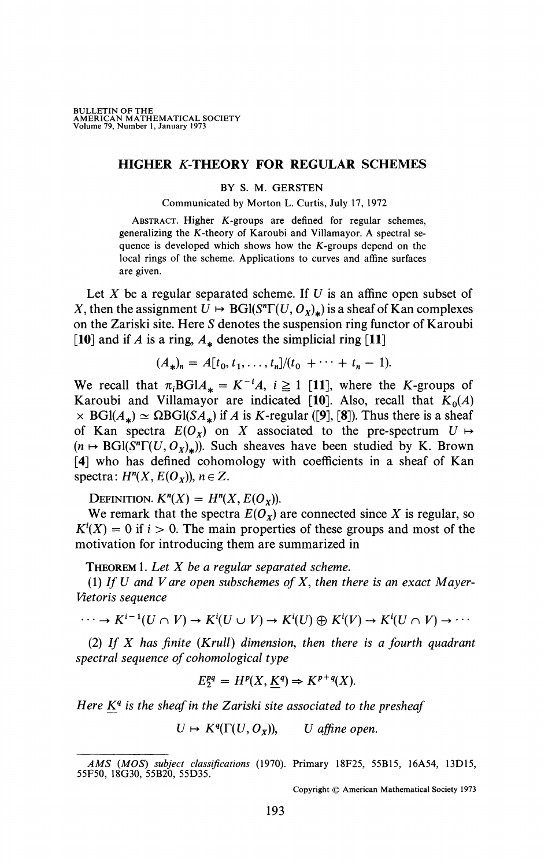## HIGHER K-THEORY FOR REGULAR SCHEMES

## BY S. M. GERSTEN

Communicated by Morton L. Curtis, July 17, 1972

ABSTRACT. Higher K-groups are defined for regular schemes, generalizing the K-theory of Karoubi and ViUamayor. A spectral sequence is developed which shows how the K-groups depend on the local rings of the scheme. Applications to curves and affine surfaces are given.

Let *X* be a regular separated scheme. If *U* is an affine open subset of *X*, then the assignment  $U \mapsto \text{BGI}(S^n \Gamma(U, O_x)_{\star})$  is a sheaf of Kan complexes on the Zariski site. Here *S* denotes the suspension ring functor of Karoubi [10] and if *A* is a ring,  $A_*$  denotes the simplicial ring [11]

$$
(A_*n)n = A[t0, t1,..., tn]/(t0 + ··· + tn - 1).
$$

We recall that  $\pi_i \text{BGI} A_* = K^{-i} A$ ,  $i \ge 1$  [11], where the K-groups of Karoubi and Villamayor are indicated [10]. Also, recall that  $K_0(A)$  $\times$  BGl( $A_*$ )  $\simeq$  QBGl(S $A_*$ ) if A is K-regular ([9], [8]). Thus there is a sheaf of Kan spectra  $E(O_x)$  on X associated to the pre-spectrum  $U \mapsto$  $(n \mapsto \text{BGI}(S^n \Gamma(U, O_{\chi})_{\star}))$ . Such sheaves have been studied by K. Brown [4] who has defined cohomology with coefficients in a sheaf of Kan spectra:  $H^n(X, E(O_X))$ ,  $n \in Z$ .

DEFINITION.  $K^n(X) = H^n(X, E(O_X)).$ 

We remark that the spectra  $E(O_x)$  are connected since X is regular, so  $K^i(X) = 0$  if  $i > 0$ . The main properties of these groups and most of the motivation for introducing them are summarized in

THEOREM 1. *Let X be a regular separated scheme.* 

(1) *If U and V are open subschemes of X, then there is an exact Mayer-Vietoris sequence* 

$$
\cdots \to K^{i-1}(U \cap V) \to K^{i}(U \cup V) \to K^{i}(U) \oplus K^{i}(V) \to K^{i}(U \cap V) \to \cdots
$$

(2) *If X has finite (Krull) dimension, then there is a fourth quadrant spectral sequence of cohomological type* 

$$
E_2^{pq} = H^p(X, \underline{K}^q) \Rightarrow K^{p+q}(X).
$$

*Here K<sup>q</sup> is the sheaf in the Zariski site associated to the presheaf* 

$$
U \mapsto K^q(\Gamma(U, O_X)), \qquad U \text{ affine open.}
$$

Copyright © American Mathematical Society 1973

*AMS (MOS) subject classifications* (1970). Primary 18F25, 55B15, 16A54, 13D15, 55F50, 18G30, 55B20, 55D35.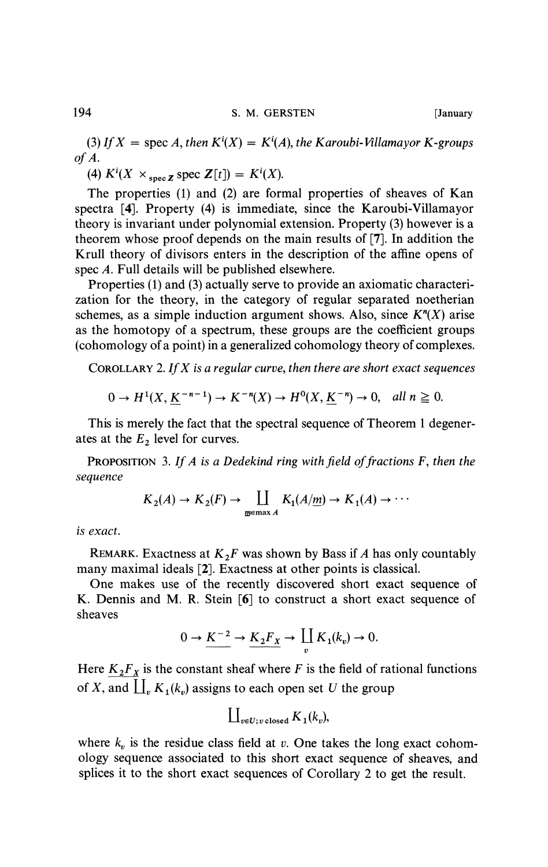(3) If  $X =$  spec A, then  $K^i(X) = K^i(A)$ , the Karoubi-Villamayor K-groups *of A.* 

(4)  $K^i(X \times_{\text{spec } Z} \text{spec } Z[t]) = K^i(X)$ .

The properties (1) and (2) are formal properties of sheaves of Kan spectra [4]. Property (4) is immediate, since the Karoubi-Villamayor theory is invariant under polynomial extension. Property (3) however is a theorem whose proof depends on the main results of [7]. In addition the Krull theory of divisors enters in the description of the affine opens of spec *A.* Full details will be published elsewhere.

Properties (1) and (3) actually serve to provide an axiomatic characterization for the theory, in the category of regular separated noetherian schemes, as a simple induction argument shows. Also, since *K<sup>n</sup> (X)* arise as the homotopy of a spectrum, these groups are the coefficient groups (cohomology of a point) in a generalized cohomology theory of complexes.

COROLLARY 2. *If X is a regular curve, then there are short exact sequences* 

$$
0 \to H^1(X, \underline{K}^{-n-1}) \to K^{-n}(X) \to H^0(X, \underline{K}^{-n}) \to 0, \quad \text{all } n \ge 0.
$$

This is merely the fact that the spectral sequence of Theorem 1 degenerates at the *E2* level for curves.

PROPOSITION 3. *If A is a Dedekind ring with field effractions* F, *then the sequence* 

 $\sim$   $\sim$ 

$$
K_2(A) \to K_2(F) \to \coprod_{\underline{m} \in \text{max } A} K_1(A/\underline{m}) \to K_1(A) \to \cdots
$$

*is exact.* 

REMARK. Exactness at  $K_2F$  was shown by Bass if *A* has only countably many maximal ideals [2]. Exactness at other points is classical.

One makes use of the recently discovered short exact sequence of K. Dennis and M. R. Stein [6] to construct a short exact sequence of sheaves

$$
0 \to \underline{K^{-2}} \to \underline{K_2 F_X} \to \coprod_v K_1(k_v) \to 0.
$$

Here  $K_2F_X$  is the constant sheaf where *F* is the field of rational functions of *X*, and  $\prod_{v} K_1(k_v)$  assigns to each open set *U* the group

$$
\prod_{v \in U; v \text{ closed}} K_1(k_v),
$$

where  $k_v$  is the residue class field at  $v$ . One takes the long exact cohomology sequence associated to this short exact sequence of sheaves, and splices it to the short exact sequences of Corollary 2 to get the result.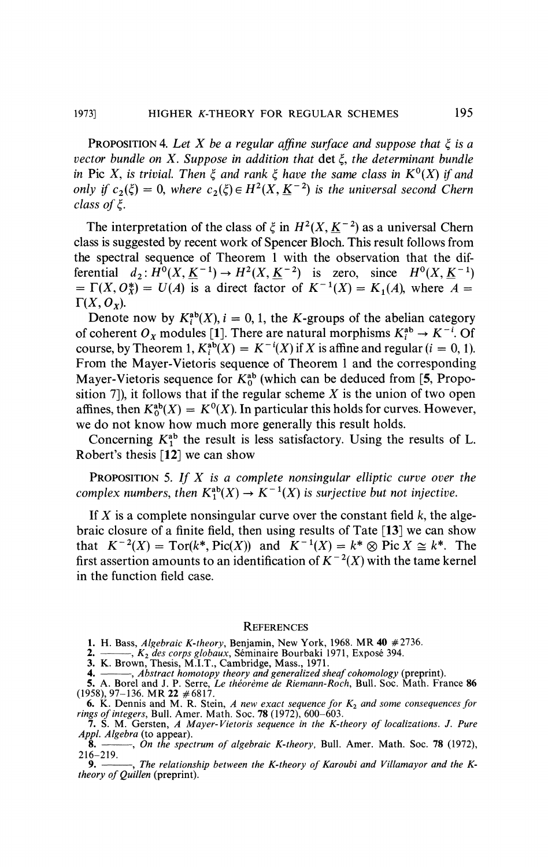PROPOSITION 4. Let X be a regular affine surface and suppose that  $\xi$  is a *vector bundle on X. Suppose in addition that* det £, *the determinant bundle in* Pic *X*, *is trivial. Then*  $\xi$  *and rank*  $\xi$  *have the same class in*  $K^0(X)$  *if and only if*  $c_2(\xi) = 0$ , where  $c_2(\xi) \in H^2(X, \underline{K}^{-2})$  is the universal second Chern *class of*  $\xi$ *.* 

The interpretation of the class of  $\xi$  in  $H^2(X, \underline{K}^{-2})$  as a universal Chern class is suggested by recent work of Spencer Bloch. This result follows from the spectral sequence of Theorem 1 with the observation that the differential  $d_2: H^0(X, \underline{K}^{-1}) \to H^2(X, \underline{K}^{-2})$  is zero, since  $H^0(X, \underline{K}^{-1})$  $= \Gamma(X, 0^*) = U(A)$  is a direct factor of  $K^{-1}(X) = K_1(A)$ , where  $A =$  $\Gamma(X, O_Y)$ .

Denote now by  $K_i^m(X)$ ,  $i = 0, 1$ , the K-groups of the abelian category of coherent  $O_\chi$  modules [1]. There are natural morphisms  $K_i \to K_{i+1}$ . Of course, by Theorem 1,  $K_i^{\alpha}(X) = K^{-1}(X)$  if X is affine and regular  $(i = 0, 1)$ . From the Mayer-Vietoris sequence of Theorem 1 and the corresponding Mayer-Vietoris sequence for  $K_0^{ab}$  (which can be deduced from [5, Proposition 7]), it follows that if the regular scheme *X* is the union of two open affines, then  $K_0^{ab}(X) = K^0(X)$ . In particular this holds for curves. However, we do not know how much more generally this result holds.

Concerning  $K_1^{40}$  the result is less satisfactory. Using the results of L. Robert's thesis [12] we can show

PROPOSITION 5. *If X is a complete nonsingular elliptic curve over the complex numbers, then*  $K_1^{ab}(X) \to K^{-1}(X)$  *is surjective but not injective.* 

If  $X$  is a complete nonsingular curve over the constant field  $k$ , the algebraic closure of a finite field, then using results of Tate [13] we can show that  $K^{-2}(X) = \text{Tor}(k^*, \text{Pic}(X))$  and  $K^{-1}(X) = k^* \otimes \text{Pic } X \cong k^*$ . The first assertion amounts to an identification of  $K^{-2}(X)$  with the tame kernel in the function field case.

## **REFERENCES**

1. H. Bass, *Algebraic K-theory,* Benjamin, New York, 1968. MR 40 #2736.

2. , *K2 des corps globaux,* Séminaire Bourbaki 1971, Exposé 394.

3. K. Brown, Thesis, M.I.T., Cambridge, Mass., 1971.

4. , *Abstract homotopy theory and generalized sheaf cohomology* (preprint).

5. A. Borel and J. P. Serre, Le theoreme de Kiemann-Koch, Bull. Soc. Math. France 86<br>(1958), 97–136. MR 22 #6817.<br>6. K. Dennis and M. R. Stein, A new exact sequence for  $K_2$  and some consequences for

*rings of integers,* Bull. Amer. Math. Soc. 78 (1972), 600-603. 7. S. M. Gersten, *A Mayer-Vietoris sequence in the K-theory of localizations. J. Pure Appl. Algebra* (to appear).

8. , *On the spectrum of algebraic K-theory,* Bull. Amer. Math. Soc. 78 (1972),  $216 - 219.$ <br>9. —

-, The relationship between the K-theory of Karoubi and Villamayor and the K*theory of Quillen* (preprint).